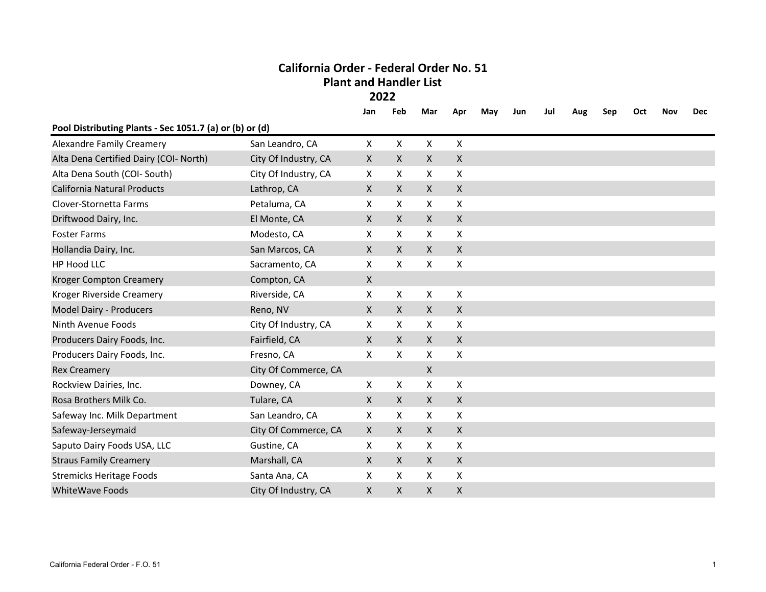# **California Order - Federal Order No. 51Plant and Handler List**

**2022**

|                                                         |                      | Jan          | Feb          | Mar                       | Apr                | May | Jun | Jul | Aug | Sep | Oct | Nov | <b>Dec</b> |
|---------------------------------------------------------|----------------------|--------------|--------------|---------------------------|--------------------|-----|-----|-----|-----|-----|-----|-----|------------|
| Pool Distributing Plants - Sec 1051.7 (a) or (b) or (d) |                      |              |              |                           |                    |     |     |     |     |     |     |     |            |
| <b>Alexandre Family Creamery</b>                        | San Leandro, CA      | $\mathsf{X}$ | X            | $\mathsf{X}$              | X                  |     |     |     |     |     |     |     |            |
| Alta Dena Certified Dairy (COI- North)                  | City Of Industry, CA | X            | X            | $\mathsf{X}$              | X                  |     |     |     |     |     |     |     |            |
| Alta Dena South (COI- South)                            | City Of Industry, CA | X            | X            | X                         | X                  |     |     |     |     |     |     |     |            |
| <b>California Natural Products</b>                      | Lathrop, CA          | $\mathsf{x}$ | X            | $\mathsf{X}$              | X                  |     |     |     |     |     |     |     |            |
| Clover-Stornetta Farms                                  | Petaluma, CA         | X            | X            | X                         | X                  |     |     |     |     |     |     |     |            |
| Driftwood Dairy, Inc.                                   | El Monte, CA         | $\mathsf{X}$ | X            | $\mathsf{X}$              | X                  |     |     |     |     |     |     |     |            |
| <b>Foster Farms</b>                                     | Modesto, CA          | X            | X            | $\boldsymbol{\mathsf{X}}$ | X                  |     |     |     |     |     |     |     |            |
| Hollandia Dairy, Inc.                                   | San Marcos, CA       | $\mathsf{X}$ | X            | $\mathsf{X}$              | X                  |     |     |     |     |     |     |     |            |
| HP Hood LLC                                             | Sacramento, CA       | X            | X            | X                         | X                  |     |     |     |     |     |     |     |            |
| <b>Kroger Compton Creamery</b>                          | Compton, CA          | X            |              |                           |                    |     |     |     |     |     |     |     |            |
| Kroger Riverside Creamery                               | Riverside, CA        | X            | X            | X                         | X                  |     |     |     |     |     |     |     |            |
| Model Dairy - Producers                                 | Reno, NV             | $\mathsf{X}$ | X            | $\mathsf{X}$              | $\mathsf{X}$       |     |     |     |     |     |     |     |            |
| Ninth Avenue Foods                                      | City Of Industry, CA | X            | X            | $\mathsf{X}$              | X                  |     |     |     |     |     |     |     |            |
| Producers Dairy Foods, Inc.                             | Fairfield, CA        | $\mathsf{X}$ | X            | $\mathsf{X}$              | X                  |     |     |     |     |     |     |     |            |
| Producers Dairy Foods, Inc.                             | Fresno, CA           | X            | X            | X                         | X                  |     |     |     |     |     |     |     |            |
| <b>Rex Creamery</b>                                     | City Of Commerce, CA |              |              | $\mathsf{X}$              |                    |     |     |     |     |     |     |     |            |
| Rockview Dairies, Inc.                                  | Downey, CA           | $\mathsf{x}$ | X            | X                         | X                  |     |     |     |     |     |     |     |            |
| Rosa Brothers Milk Co.                                  | Tulare, CA           | $\mathsf{X}$ | $\mathsf{X}$ | $\mathsf{X}$              | X                  |     |     |     |     |     |     |     |            |
| Safeway Inc. Milk Department                            | San Leandro, CA      | X            | X            | X                         | X                  |     |     |     |     |     |     |     |            |
| Safeway-Jerseymaid                                      | City Of Commerce, CA | $\mathsf{X}$ | X            | $\mathsf{X}$              | X                  |     |     |     |     |     |     |     |            |
| Saputo Dairy Foods USA, LLC                             | Gustine, CA          | X            | X            | $\times$                  | X                  |     |     |     |     |     |     |     |            |
| <b>Straus Family Creamery</b>                           | Marshall, CA         | X            | X            | $\mathsf{X}$              | X                  |     |     |     |     |     |     |     |            |
| <b>Stremicks Heritage Foods</b>                         | Santa Ana, CA        | X            | X            | $\boldsymbol{\mathsf{X}}$ | X                  |     |     |     |     |     |     |     |            |
| <b>WhiteWave Foods</b>                                  | City Of Industry, CA | X            | X            | $\pmb{\mathsf{X}}$        | $\pmb{\mathsf{X}}$ |     |     |     |     |     |     |     |            |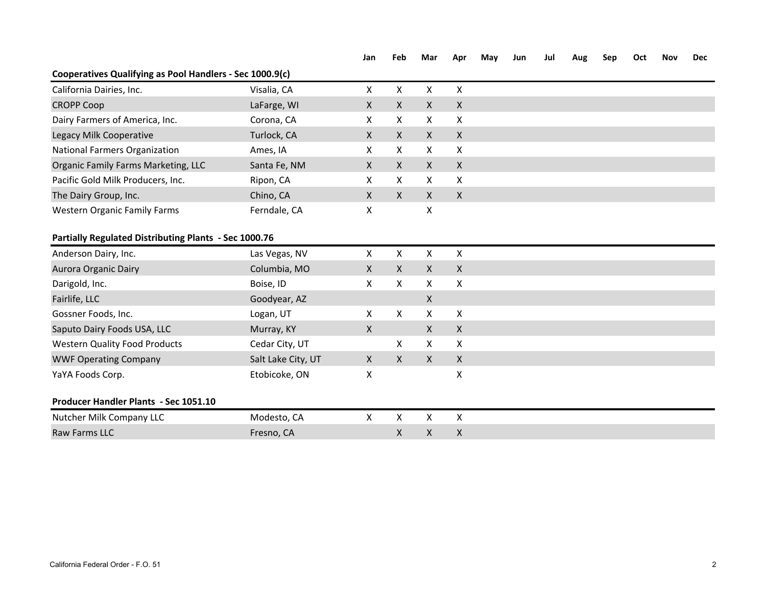### **Jan Feb Mar Apr May Jun Jul Aug Sep Oct Nov Dec**

## **Cooperatives Qualifying as Pool Handlers - Sec 1000.9(c)**

| Visalia, CA        | X                                                            | X            | X                         | X            |  |
|--------------------|--------------------------------------------------------------|--------------|---------------------------|--------------|--|
| LaFarge, WI        | X                                                            | X            | $\boldsymbol{\mathsf{X}}$ | $\mathsf{X}$ |  |
| Corona, CA         | X                                                            | X            | X                         | X            |  |
| Turlock, CA        | X                                                            | $\mathsf{X}$ | X                         | X            |  |
| Ames, IA           | X                                                            | X            | X                         | X            |  |
| Santa Fe, NM       | X                                                            | X            | $\boldsymbol{\mathsf{X}}$ | $\mathsf X$  |  |
| Ripon, CA          | X                                                            | X            | $\boldsymbol{\mathsf{X}}$ | $\mathsf{X}$ |  |
| Chino, CA          | $\mathsf{X}$                                                 | $\mathsf{X}$ | $\boldsymbol{\mathsf{X}}$ | $\mathsf{X}$ |  |
| Ferndale, CA       | X                                                            |              | X                         |              |  |
|                    |                                                              |              |                           |              |  |
| Las Vegas, NV      | X                                                            | X            | X                         | X            |  |
| Columbia, MO       | X                                                            | $\mathsf{X}$ | $\boldsymbol{\mathsf{X}}$ | $\mathsf{X}$ |  |
| Boise, ID          | X                                                            | X            | $\mathsf{X}$              | X            |  |
| Goodyear, AZ       |                                                              |              | $\mathsf{X}$              |              |  |
| Logan, UT          | X                                                            | X            | X                         | X            |  |
| Murray, KY         | X                                                            |              | $\mathsf{x}$              | $\mathsf X$  |  |
| Cedar City, UT     |                                                              | X            | $\mathsf{X}$              | $\mathsf{X}$ |  |
| Salt Lake City, UT | $\mathsf{X}$                                                 | $\mathsf{X}$ | $\boldsymbol{\mathsf{X}}$ | $\mathsf X$  |  |
| Etobicoke, ON      | Χ                                                            |              |                           | Χ            |  |
|                    |                                                              |              |                           |              |  |
| Modesto, CA        | X                                                            | X            | X                         | X            |  |
| Fresno, CA         |                                                              | X            | $\mathsf X$               | Χ            |  |
|                    | <b>Partially Regulated Distributing Plants - Sec 1000.76</b> |              |                           |              |  |